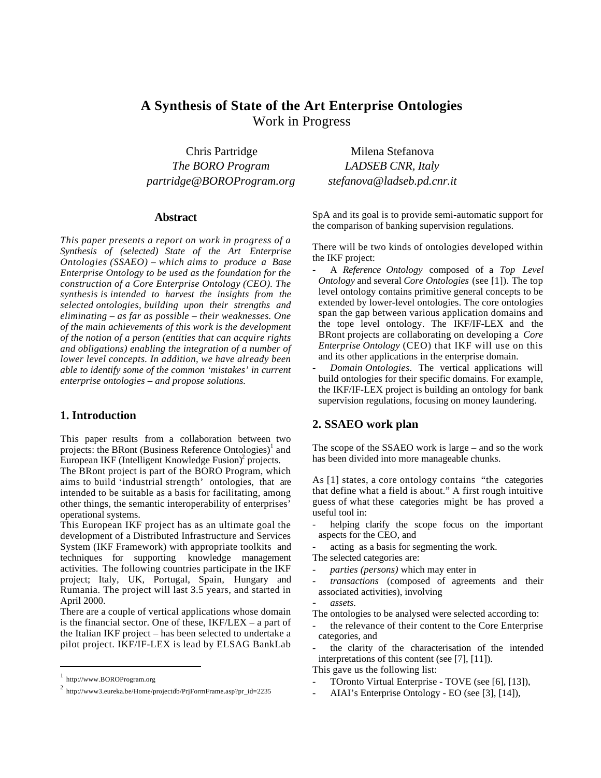# **A Synthesis of State of the Art Enterprise Ontologies** Work in Progress

Chris Partridge Milena Stefanova *The BORO Program LADSEB CNR, Italy partridge@BOROProgram.org stefanova@ladseb.pd.cnr.it*

#### **Abstract**

*This paper presents a report on work in progress of a Synthesis of (selected) State of the Art Enterprise Ontologies (SSAEO) – which aims to produce a Base Enterprise Ontology to be used as the foundation for the construction of a Core Enterprise Ontology (CEO). The synthesis is intended to harvest the insights from the selected ontologies, building upon their strengths and eliminating – as far as possible – their weaknesses. One of the main achievements of this work is the development of the notion of a person (entities that can acquire rights and obligations) enabling the integration of a number of lower level concepts. In addition, we have already been able to identify some of the common 'mistakes' in current enterprise ontologies – and propose solutions.*

# **1. Introduction**

This paper results from a collaboration between two projects: the BRont (Business Reference Ontologies)<sup>1</sup> and European IKF (Intelligent Knowledge Fusion) $2$  projects.

The BRont project is part of the BORO Program, which aims to build 'industrial strength' ontologies, that are intended to be suitable as a basis for facilitating, among other things, the semantic interoperability of enterprises' operational systems.

This European IKF project has as an ultimate goal the development of a Distributed Infrastructure and Services System (IKF Framework) with appropriate toolkits and techniques for supporting knowledge management activities. The following countries participate in the IKF project; Italy, UK, Portugal, Spain, Hungary and Rumania. The project will last 3.5 years, and started in April 2000.

There are a couple of vertical applications whose domain is the financial sector. One of these, IKF/LEX – a part of the Italian IKF project – has been selected to undertake a pilot project. IKF/IF-LEX is lead by ELSAG BankLab

j

SpA and its goal is to provide semi-automatic support for the comparison of banking supervision regulations.

There will be two kinds of ontologies developed within the IKF project:

- A *Reference Ontology* composed of a *Top Level Ontology* and several *Core Ontologies* (see [1]). The top level ontology contains primitive general concepts to be extended by lower-level ontologies. The core ontologies span the gap between various application domains and the tope level ontology. The IKF/IF-LEX and the BRont projects are collaborating on developing a *Core Enterprise Ontology* (CEO) that IKF will use on this and its other applications in the enterprise domain.
- *Domain Ontologies*. The vertical applications will build ontologies for their specific domains. For example, the IKF/IF-LEX project is building an ontology for bank supervision regulations, focusing on money laundering.

## **2. SSAEO work plan**

The scope of the SSAEO work is large – and so the work has been divided into more manageable chunks.

As [1] states, a core ontology contains "the categories that define what a field is about." A first rough intuitive guess of what these categories might be has proved a useful tool in:

helping clarify the scope focus on the important aspects for the CEO, and

acting as a basis for segmenting the work.

The selected categories are:

- *parties (persons)* which may enter in
- *transactions* (composed of agreements and their associated activities), involving
- *assets.*

The ontologies to be analysed were selected according to:

- the relevance of their content to the Core Enterprise categories, and
- the clarity of the characterisation of the intended interpretations of this content (see [7], [11]).

This gave us the following list:

- TOronto Virtual Enterprise TOVE (see [6], [13]),
- AIAI's Enterprise Ontology EO (see [3], [14]),

<sup>1</sup> http://www.BOROProgram.org

<sup>2</sup> http://www3.eureka.be/Home/projectdb/PrjFormFrame.asp?pr\_id=2235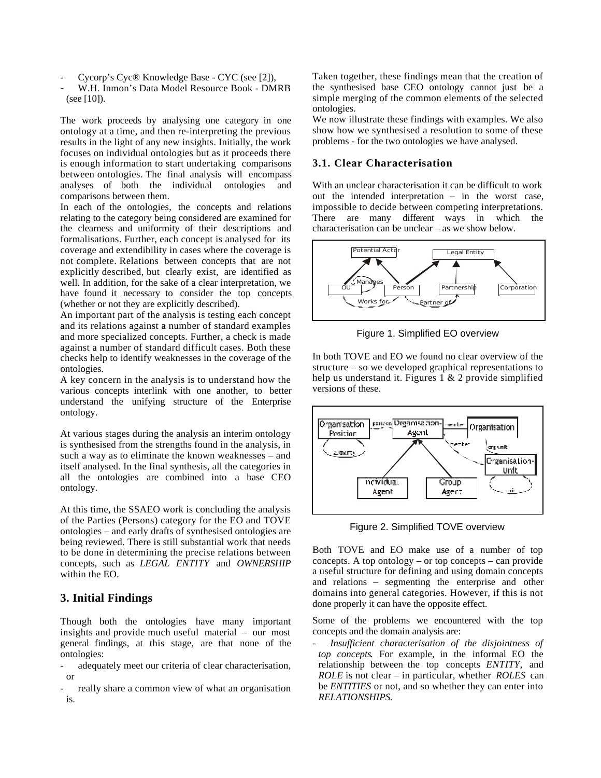- Cycorp's Cyc® Knowledge Base CYC (see [2]),
- W.H. Inmon's Data Model Resource Book DMRB (see [10]).

The work proceeds by analysing one category in one ontology at a time, and then re-interpreting the previous results in the light of any new insights. Initially, the work focuses on individual ontologies but as it proceeds there is enough information to start undertaking comparisons between ontologies. The final analysis will encompass analyses of both the individual ontologies and comparisons between them.

In each of the ontologies, the concepts and relations relating to the category being considered are examined for the clearness and uniformity of their descriptions and formalisations. Further, each concept is analysed for its coverage and extendibility in cases where the coverage is not complete. Relations between concepts that are not explicitly described, but clearly exist, are identified as well. In addition, for the sake of a clear interpretation, we have found it necessary to consider the top concepts (whether or not they are explicitly described).

An important part of the analysis is testing each concept and its relations against a number of standard examples and more specialized concepts. Further, a check is made against a number of standard difficult cases. Both these checks help to identify weaknesses in the coverage of the ontologies.

A key concern in the analysis is to understand how the various concepts interlink with one another, to better understand the unifying structure of the Enterprise ontology.

At various stages during the analysis an interim ontology is synthesised from the strengths found in the analysis, in such a way as to eliminate the known weaknesses – and itself analysed. In the final synthesis, all the categories in all the ontologies are combined into a base CEO ontology.

At this time, the SSAEO work is concluding the analysis of the Parties (Persons) category for the EO and TOVE ontologies – and early drafts of synthesised ontologies are being reviewed. There is still substantial work that needs to be done in determining the precise relations between concepts, such as *LEGAL ENTITY* and *OWNERSHIP* within the EO.

# **3. Initial Findings**

Though both the ontologies have many important insights and provide much useful material – our most general findings, at this stage, are that none of the ontologies:

- adequately meet our criteria of clear characterisation, or
- really share a common view of what an organisation is.

Taken together, these findings mean that the creation of the synthesised base CEO ontology cannot just be a simple merging of the common elements of the selected ontologies.

We now illustrate these findings with examples. We also show how we synthesised a resolution to some of these problems - for the two ontologies we have analysed.

#### **3.1. Clear Characterisation**

With an unclear characterisation it can be difficult to work out the intended interpretation – in the worst case, impossible to decide between competing interpretations. There are many different ways in which the characterisation can be unclear – as we show below.



Figure 1. Simplified EO overview

In both TOVE and EO we found no clear overview of the structure – so we developed graphical representations to help us understand it. Figures  $1 \& 2$  provide simplified versions of these.



Figure 2. Simplified TOVE overview

Both TOVE and EO make use of a number of top concepts. A top ontology – or top concepts – can provide a useful structure for defining and using domain concepts and relations – segmenting the enterprise and other domains into general categories. However, if this is not done properly it can have the opposite effect.

Some of the problems we encountered with the top concepts and the domain analysis are:

- *Insufficient characterisation of the disjointness of top concepts*. For example, in the informal EO the relationship between the top concepts *ENTITY,* and *ROLE* is not clear – in particular, whether *ROLES* can be *ENTITIES* or not, and so whether they can enter into *RELATIONSHIPS*.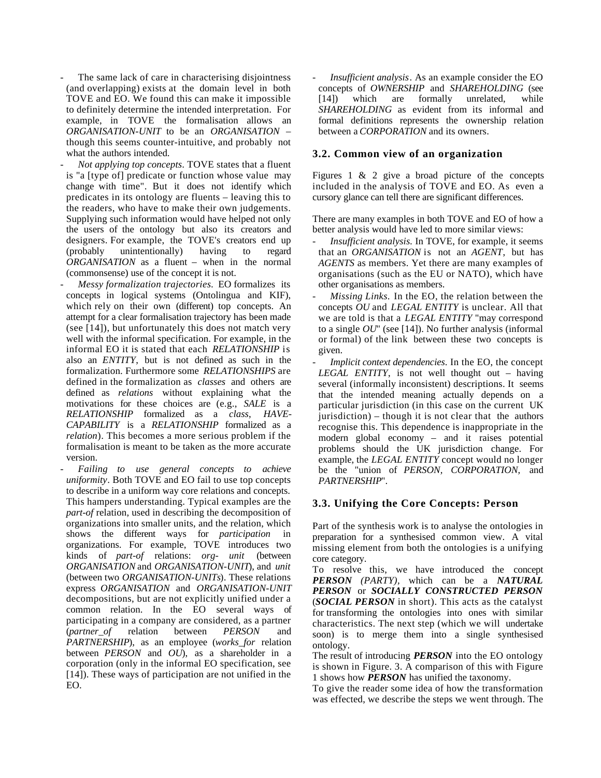- The same lack of care in characterising disjointness (and overlapping) exists at the domain level in both TOVE and EO. We found this can make it impossible to definitely determine the intended interpretation. For example, in TOVE the formalisation allows an *ORGANISATION-UNIT* to be an *ORGANISATION* – though this seems counter-intuitive, and probably not what the authors intended.
- *Not applying top concepts*. TOVE states that a fluent is "a [type of] predicate or function whose value may change with time". But it does not identify which predicates in its ontology are fluents – leaving this to the readers, who have to make their own judgements. Supplying such information would have helped not only the users of the ontology but also its creators and designers. For example, the TOVE's creators end up (probably unintentionally) having to regard *ORGANISATION* as a fluent – when in the normal (commonsense) use of the concept it is not.
- *Messy formalization trajectories.* EO formalizes its concepts in logical systems (Ontolingua and KIF), which rely on their own (different) top concepts. An attempt for a clear formalisation trajectory has been made (see [14]), but unfortunately this does not match very well with the informal specification. For example, in the informal EO it is stated that each *RELATIONSHIP* is also an *ENTITY*, but is not defined as such in the formalization. Furthermore some *RELATIONSHIPS* are defined in the formalization as *classes* and others are defined as *relations* without explaining what the motivations for these choices are (e.g., *SALE* is a *RELATIONSHIP* formalized as a *class*, *HAVE-CAPABILITY* is a *RELATIONSHIP* formalized as a *relation*). This becomes a more serious problem if the formalisation is meant to be taken as the more accurate version.
- *Failing to use general concepts to achieve uniformity*. Both TOVE and EO fail to use top concepts to describe in a uniform way core relations and concepts. This hampers understanding. Typical examples are the *part-of* relation, used in describing the decomposition of organizations into smaller units, and the relation, which shows the different ways for *participation* in organizations. For example, TOVE introduces two kinds of *part-of* relations: *org- unit* (between *ORGANISATION* and *ORGANISATION-UNIT*), and *unit* (between two *ORGANISATION-UNITs*). These relations express *ORGANISATION* and *ORGANISATION-UNIT* decompositions, but are not explicitly unified under a common relation. In the EO several ways of participating in a company are considered, as a partner (*partner\_of* relation between *PERSON* and *PARTNERSHIP*), as an employee (*works\_for* relation between *PERSON* and *OU*), as a shareholder in a corporation (only in the informal EO specification, see [14]). These ways of participation are not unified in the EO.

- *Insufficient analysis*. As an example consider the EO concepts of *OWNERSHIP* and *SHAREHOLDING* (see [14]) which are formally unrelated, while *SHAREHOLDING* as evident from its informal and formal definitions represents the ownership relation between a *CORPORATION* and its owners.

#### **3.2. Common view of an organization**

Figures 1 & 2 give a broad picture of the concepts included in the analysis of TOVE and EO. As even a cursory glance can tell there are significant differences.

There are many examples in both TOVE and EO of how a better analysis would have led to more similar views:

- *Insufficient analysis.* In TOVE, for example, it seems that an *ORGANISATION* is not an *AGENT*, but has *AGENTS* as members. Yet there are many examples of organisations (such as the EU or NATO), which have other organisations as members.
- Missing Links. In the EO, the relation between the concepts *OU* and *LEGAL ENTITY* is unclear. All that we are told is that a *LEGAL ENTITY* "may correspond to a single *OU*" (see [14]). No further analysis (informal or formal) of the link between these two concepts is given.
- *Implicit context dependencies*. In the EO, the concept *LEGAL ENTITY*, is not well thought out – having several (informally inconsistent) descriptions. It seems that the intended meaning actually depends on a particular jurisdiction (in this case on the current UK jurisdiction) – though it is not clear that the authors recognise this. This dependence is inappropriate in the modern global economy – and it raises potential problems should the UK jurisdiction change. For example, the *LEGAL ENTITY* concept would no longer be the "union of *PERSON, CORPORATION,* and *PARTNERSHIP*".

#### **3.3. Unifying the Core Concepts: Person**

Part of the synthesis work is to analyse the ontologies in preparation for a synthesised common view. A vital missing element from both the ontologies is a unifying core category.

To resolve this, we have introduced the concept *PERSON (PARTY),* which can be a *NATURAL PERSON* or *SOCIALLY CONSTRUCTED PERSON* (*SOCIAL PERSON* in short). This acts as the catalyst for transforming the ontologies into ones with similar characteristics. The next step (which we will undertake soon) is to merge them into a single synthesised ontology.

The result of introducing *PERSON* into the EO ontology is shown in Figure. 3. A comparison of this with Figure 1 shows how *PERSON* has unified the taxonomy.

To give the reader some idea of how the transformation was effected, we describe the steps we went through. The